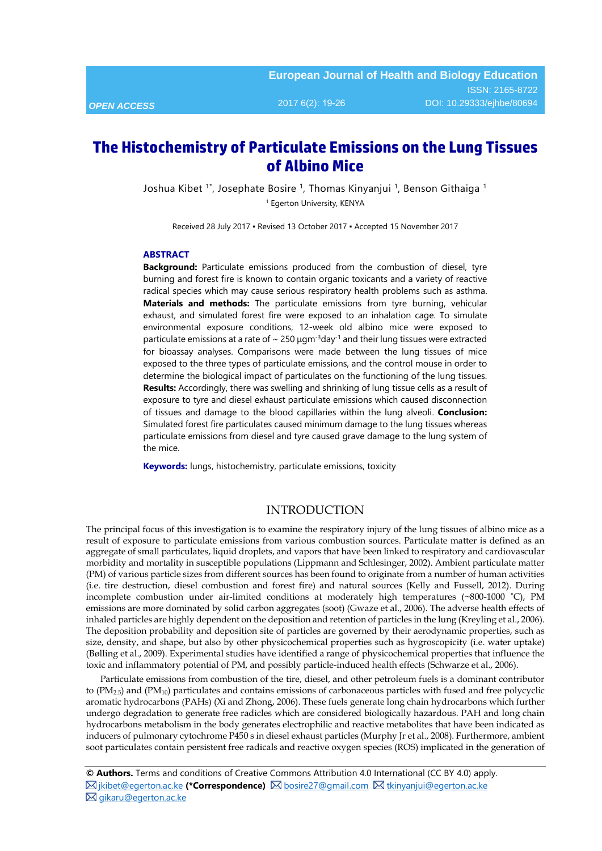# **The Histochemistry of Particulate Emissions on the Lung Tissues of Albino Mice**

Joshua Kibet 1\*, Josephate Bosire 1, Thomas Kinyanjui 1, Benson Githaiga 1 <sup>1</sup> Egerton University, KENYA

Received 28 July 2017 ▪ Revised 13 October 2017 ▪ Accepted 15 November 2017

#### **ABSTRACT**

**Background:** Particulate emissions produced from the combustion of diesel, tyre burning and forest fire is known to contain organic toxicants and a variety of reactive radical species which may cause serious respiratory health problems such as asthma. **Materials and methods:** The particulate emissions from tyre burning, vehicular exhaust, and simulated forest fire were exposed to an inhalation cage. To simulate environmental exposure conditions, 12-week old albino mice were exposed to particulate emissions at a rate of  $\sim 250 \,\mu\text{g} \text{m}^{-3} \text{day}^{-1}$  and their lung tissues were extracted for bioassay analyses. Comparisons were made between the lung tissues of mice exposed to the three types of particulate emissions, and the control mouse in order to determine the biological impact of particulates on the functioning of the lung tissues. **Results:** Accordingly, there was swelling and shrinking of lung tissue cells as a result of exposure to tyre and diesel exhaust particulate emissions which caused disconnection of tissues and damage to the blood capillaries within the lung alveoli. **Conclusion:**  Simulated forest fire particulates caused minimum damage to the lung tissues whereas particulate emissions from diesel and tyre caused grave damage to the lung system of the mice.

**Keywords:** lungs, histochemistry, particulate emissions, toxicity

## INTRODUCTION

The principal focus of this investigation is to examine the respiratory injury of the lung tissues of albino mice as a result of exposure to particulate emissions from various combustion sources. Particulate matter is defined as an aggregate of small particulates, liquid droplets, and vapors that have been linked to respiratory and cardiovascular morbidity and mortality in susceptible populations (Lippmann and Schlesinger, 2002). Ambient particulate matter (PM) of various particle sizes from different sources has been found to originate from a number of human activities (i.e. tire destruction, diesel combustion and forest fire) and natural sources (Kelly and Fussell, 2012). During incomplete combustion under air-limited conditions at moderately high temperatures (~800-1000 ˚C), PM emissions are more dominated by solid carbon aggregates (soot) (Gwaze et al., 2006). The adverse health effects of inhaled particles are highly dependent on the deposition and retention of particles in the lung (Kreyling et al., 2006). The deposition probability and deposition site of particles are governed by their aerodynamic properties, such as size, density, and shape, but also by other physicochemical properties such as hygroscopicity (i.e. water uptake) (Bølling et al., 2009). Experimental studies have identified a range of physicochemical properties that influence the toxic and inflammatory potential of PM, and possibly particle-induced health effects (Schwarze et al., 2006).

Particulate emissions from combustion of the tire, diesel, and other petroleum fuels is a dominant contributor to  $(PM_{2.5})$  and  $(PM_{10})$  particulates and contains emissions of carbonaceous particles with fused and free polycyclic aromatic hydrocarbons (PAHs) (Xi and Zhong, 2006). These fuels generate long chain hydrocarbons which further undergo degradation to generate free radicles which are considered biologically hazardous. PAH and long chain hydrocarbons metabolism in the body generates electrophilic and reactive metabolites that have been indicated as inducers of pulmonary cytochrome P450 s in diesel exhaust particles (Murphy Jr et al., 2008). Furthermore, ambient soot particulates contain persistent free radicals and reactive oxygen species (ROS) implicated in the generation of

**<sup>©</sup> Authors.** Terms and conditions of Creative Commons Attribution 4.0 International (CC BY 4.0) apply.  $\boxtimes$  [jkibet@egerton.ac.ke](mailto:jkibet@egerton.ac.ke) (\*Correspondence)  $\boxtimes$  [bosire27@gmail.com](mailto:bosire27@gmail.com)  $\boxtimes$  [tkinyanjui@egerton.ac.ke](mailto:tkinyanjui@egerton.ac.ke) ■ gikaru@egerton.ac.ke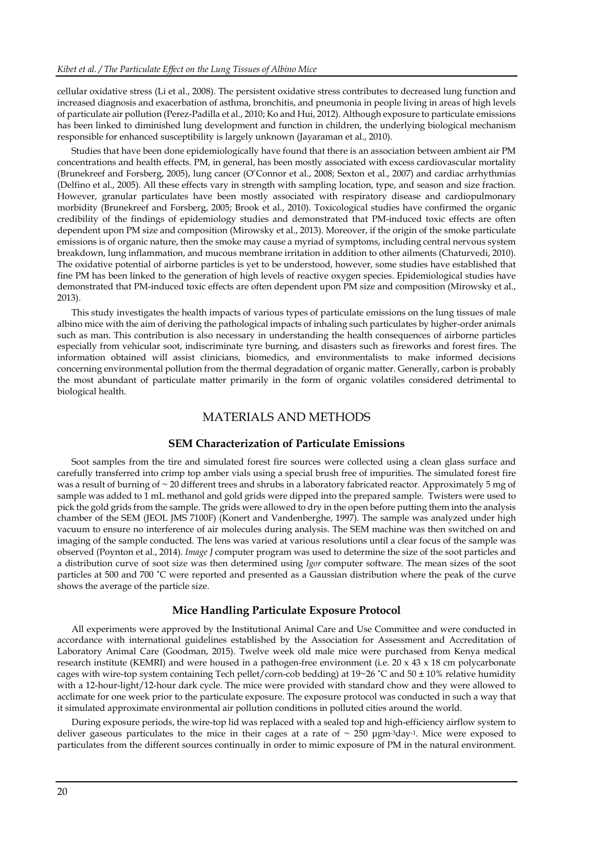cellular oxidative stress (Li et al., 2008). The persistent oxidative stress contributes to decreased lung function and increased diagnosis and exacerbation of asthma, bronchitis, and pneumonia in people living in areas of high levels of particulate air pollution (Perez-Padilla et al., 2010; Ko and Hui, 2012). Although exposure to particulate emissions has been linked to diminished lung development and function in children, the underlying biological mechanism responsible for enhanced susceptibility is largely unknown (Jayaraman et al., 2010).

Studies that have been done epidemiologically have found that there is an association between ambient air PM concentrations and health effects. PM, in general, has been mostly associated with excess cardiovascular mortality (Brunekreef and Forsberg, 2005), lung cancer (O'Connor et al., 2008; Sexton et al., 2007) and cardiac arrhythmias (Delfino et al., 2005). All these effects vary in strength with sampling location, type, and season and size fraction. However, granular particulates have been mostly associated with respiratory disease and cardiopulmonary morbidity (Brunekreef and Forsberg, 2005; Brook et al., 2010). Toxicological studies have confirmed the organic credibility of the findings of epidemiology studies and demonstrated that PM-induced toxic effects are often dependent upon PM size and composition (Mirowsky et al., 2013). Moreover, if the origin of the smoke particulate emissions is of organic nature, then the smoke may cause a myriad of symptoms, including central nervous system breakdown, lung inflammation, and mucous membrane irritation in addition to other ailments (Chaturvedi, 2010). The oxidative potential of airborne particles is yet to be understood, however, some studies have established that fine PM has been linked to the generation of high levels of reactive oxygen species. Epidemiological studies have demonstrated that PM-induced toxic effects are often dependent upon PM size and composition (Mirowsky et al., 2013).

This study investigates the health impacts of various types of particulate emissions on the lung tissues of male albino mice with the aim of deriving the pathological impacts of inhaling such particulates by higher-order animals such as man. This contribution is also necessary in understanding the health consequences of airborne particles especially from vehicular soot, indiscriminate tyre burning, and disasters such as fireworks and forest fires. The information obtained will assist clinicians, biomedics, and environmentalists to make informed decisions concerning environmental pollution from the thermal degradation of organic matter. Generally, carbon is probably the most abundant of particulate matter primarily in the form of organic volatiles considered detrimental to biological health.

### MATERIALS AND METHODS

## **SEM Characterization of Particulate Emissions**

Soot samples from the tire and simulated forest fire sources were collected using a clean glass surface and carefully transferred into crimp top amber vials using a special brush free of impurities. The simulated forest fire was a result of burning of ~ 20 different trees and shrubs in a laboratory fabricated reactor. Approximately 5 mg of sample was added to 1 mL methanol and gold grids were dipped into the prepared sample. Twisters were used to pick the gold grids from the sample. The grids were allowed to dry in the open before putting them into the analysis chamber of the SEM (JEOL JMS 7100F) (Konert and Vandenberghe, 1997). The sample was analyzed under high vacuum to ensure no interference of air molecules during analysis. The SEM machine was then switched on and imaging of the sample conducted. The lens was varied at various resolutions until a clear focus of the sample was observed (Poynton et al., 2014). *Image J* computer program was used to determine the size of the soot particles and a distribution curve of soot size was then determined using *Igor* computer software. The mean sizes of the soot particles at 500 and 700 ˚C were reported and presented as a Gaussian distribution where the peak of the curve shows the average of the particle size.

## **Mice Handling Particulate Exposure Protocol**

All experiments were approved by the Institutional Animal Care and Use Committee and were conducted in accordance with international guidelines established by the Association for Assessment and Accreditation of Laboratory Animal Care (Goodman, 2015). Twelve week old male mice were purchased from Kenya medical research institute (KEMRI) and were housed in a pathogen-free environment (i.e. 20 x 43 x 18 cm polycarbonate cages with wire-top system containing Tech pellet/corn-cob bedding) at 19~26 ˚C and 50 ± 10% relative humidity with a 12-hour-light/12-hour dark cycle. The mice were provided with standard chow and they were allowed to acclimate for one week prior to the particulate exposure. The exposure protocol was conducted in such a way that it simulated approximate environmental air pollution conditions in polluted cities around the world.

During exposure periods, the wire-top lid was replaced with a sealed top and high-efficiency airflow system to deliver gaseous particulates to the mice in their cages at a rate of  $\sim 250$   $\mu$ gm<sup>-3</sup>day<sup>-1</sup>. Mice were exposed to particulates from the different sources continually in order to mimic exposure of PM in the natural environment.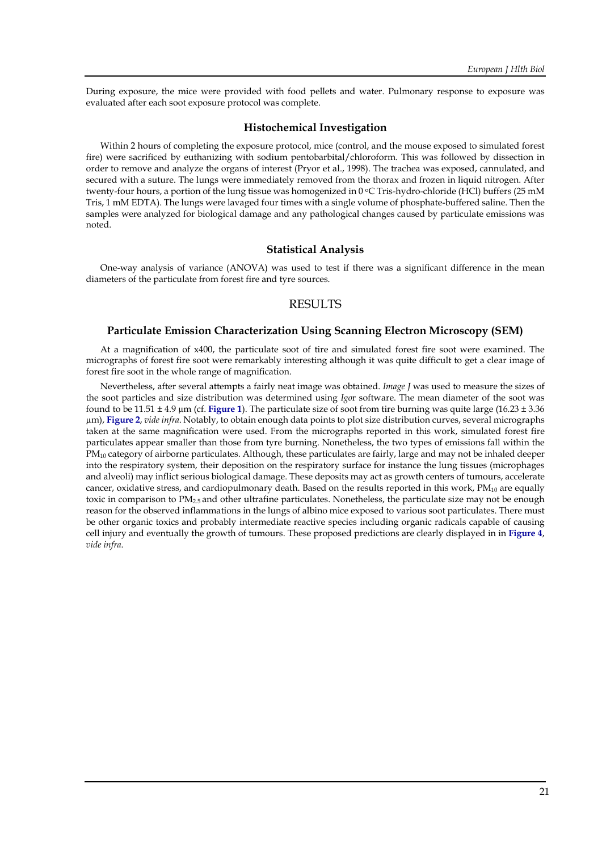During exposure, the mice were provided with food pellets and water. Pulmonary response to exposure was evaluated after each soot exposure protocol was complete.

#### **Histochemical Investigation**

Within 2 hours of completing the exposure protocol, mice (control, and the mouse exposed to simulated forest fire) were sacrificed by euthanizing with sodium pentobarbital/chloroform. This was followed by dissection in order to remove and analyze the organs of interest (Pryor et al., 1998). The trachea was exposed, cannulated, and secured with a suture. The lungs were immediately removed from the thorax and frozen in liquid nitrogen. After twenty-four hours, a portion of the lung tissue was homogenized in 0 °C Tris-hydro-chloride (HCl) buffers (25 mM Tris, 1 mM EDTA). The lungs were lavaged four times with a single volume of phosphate-buffered saline. Then the samples were analyzed for biological damage and any pathological changes caused by particulate emissions was noted.

#### **Statistical Analysis**

One-way analysis of variance (ANOVA) was used to test if there was a significant difference in the mean diameters of the particulate from forest fire and tyre sources.

## **RESULTS**

#### **Particulate Emission Characterization Using Scanning Electron Microscopy (SEM)**

At a magnification of x400, the particulate soot of tire and simulated forest fire soot were examined. The micrographs of forest fire soot were remarkably interesting although it was quite difficult to get a clear image of forest fire soot in the whole range of magnification.

Nevertheless, after several attempts a fairly neat image was obtained. *Image J* was used to measure the sizes of the soot particles and size distribution was determined using *Igo*r software. The mean diameter of the soot was found to be 11.51 ± 4.9 µm (cf. **Figure 1**). The particulate size of soot from tire burning was quite large (16.23 ± 3.36 µm), **Figure 2**, *vide infra*. Notably, to obtain enough data points to plot size distribution curves, several micrographs taken at the same magnification were used. From the micrographs reported in this work, simulated forest fire particulates appear smaller than those from tyre burning. Nonetheless, the two types of emissions fall within the PM<sub>10</sub> category of airborne particulates. Although, these particulates are fairly, large and may not be inhaled deeper into the respiratory system, their deposition on the respiratory surface for instance the lung tissues (microphages and alveoli) may inflict serious biological damage. These deposits may act as growth centers of tumours, accelerate cancer, oxidative stress, and cardiopulmonary death. Based on the results reported in this work, PM<sub>10</sub> are equally toxic in comparison to  $PM_{2.5}$  and other ultrafine particulates. Nonetheless, the particulate size may not be enough reason for the observed inflammations in the lungs of albino mice exposed to various soot particulates. There must be other organic toxics and probably intermediate reactive species including organic radicals capable of causing cell injury and eventually the growth of tumours. These proposed predictions are clearly displayed in in **Figure 4**, *vide infra*.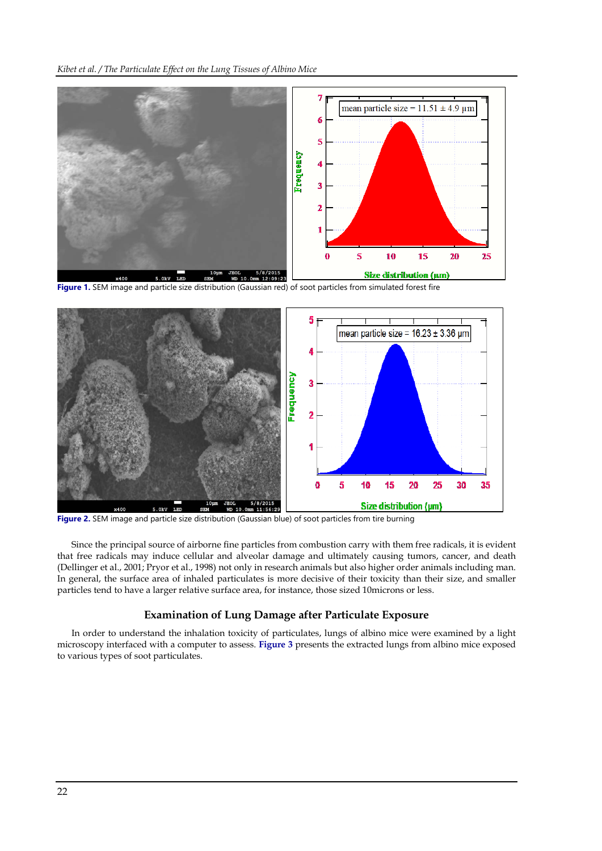

**Figure 1.** SEM image and particle size distribution (Gaussian red) of soot particles from simulated forest fire



**Figure 2.** SEM image and particle size distribution (Gaussian blue) of soot particles from tire burning

Since the principal source of airborne fine particles from combustion carry with them free radicals, it is evident that free radicals may induce cellular and alveolar damage and ultimately causing tumors, cancer, and death (Dellinger et al., 2001; Pryor et al., 1998) not only in research animals but also higher order animals including man. In general, the surface area of inhaled particulates is more decisive of their toxicity than their size, and smaller particles tend to have a larger relative surface area, for instance, those sized 10microns or less.

#### **Examination of Lung Damage after Particulate Exposure**

In order to understand the inhalation toxicity of particulates, lungs of albino mice were examined by a light microscopy interfaced with a computer to assess. **Figure 3** presents the extracted lungs from albino mice exposed to various types of soot particulates.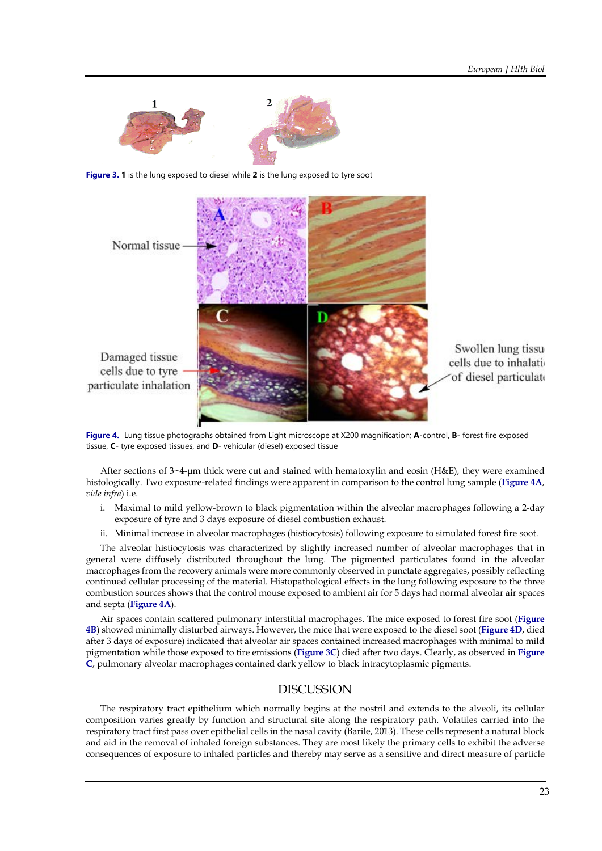

**Figure 3. 1** is the lung exposed to diesel while **2** is the lung exposed to tyre soot



**Figure 4.** Lung tissue photographs obtained from Light microscope at X200 magnification; **A**-control, **B**- forest fire exposed tissue, **C**- tyre exposed tissues, and **D**- vehicular (diesel) exposed tissue

After sections of 3~4-μm thick were cut and stained with hematoxylin and eosin (H&E), they were examined histologically. Two exposure-related findings were apparent in comparison to the control lung sample (**Figure 4A**, *vide infra*) i.e.

- i. Maximal to mild yellow-brown to black pigmentation within the alveolar macrophages following a 2-day exposure of tyre and 3 days exposure of diesel combustion exhaust.
- ii. Minimal increase in alveolar macrophages (histiocytosis) following exposure to simulated forest fire soot.

The alveolar histiocytosis was characterized by slightly increased number of alveolar macrophages that in general were diffusely distributed throughout the lung. The pigmented particulates found in the alveolar macrophages from the recovery animals were more commonly observed in punctate aggregates, possibly reflecting continued cellular processing of the material. Histopathological effects in the lung following exposure to the three combustion sources shows that the control mouse exposed to ambient air for 5 days had normal alveolar air spaces and septa (**Figure 4A**).

Air spaces contain scattered pulmonary interstitial macrophages. The mice exposed to forest fire soot (**Figure 4B**) showed minimally disturbed airways. However, the mice that were exposed to the diesel soot (**Figure 4D**, died after 3 days of exposure) indicated that alveolar air spaces contained increased macrophages with minimal to mild pigmentation while those exposed to tire emissions (**Figure 3C**) died after two days. Clearly, as observed in **Figure C**, pulmonary alveolar macrophages contained dark yellow to black intracytoplasmic pigments.

## DISCUSSION

The respiratory tract epithelium which normally begins at the nostril and extends to the alveoli, its cellular composition varies greatly by function and structural site along the respiratory path. Volatiles carried into the respiratory tract first pass over epithelial cells in the nasal cavity (Barile, 2013). These cells represent a natural block and aid in the removal of inhaled foreign substances. They are most likely the primary cells to exhibit the adverse consequences of exposure to inhaled particles and thereby may serve as a sensitive and direct measure of particle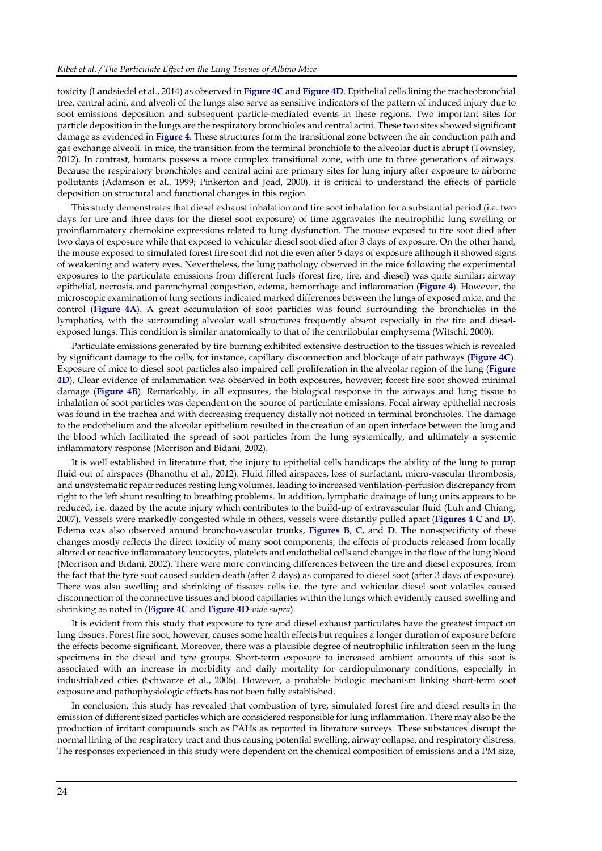toxicity (Landsiedel et al., 2014) as observed in **Figure 4C** and **Figure 4D**. Epithelial cells lining the tracheobronchial tree, central acini, and alveoli of the lungs also serve as sensitive indicators of the pattern of induced injury due to soot emissions deposition and subsequent particle-mediated events in these regions. Two important sites for particle deposition in the lungs are the respiratory bronchioles and central acini. These two sites showed significant damage as evidenced in **Figure 4**. These structures form the transitional zone between the air conduction path and gas exchange alveoli. In mice, the transition from the terminal bronchiole to the alveolar duct is abrupt (Townsley, 2012). In contrast, humans possess a more complex transitional zone, with one to three generations of airways. Because the respiratory bronchioles and central acini are primary sites for lung injury after exposure to airborne pollutants (Adamson et al., 1999; Pinkerton and Joad, 2000), it is critical to understand the effects of particle deposition on structural and functional changes in this region.

This study demonstrates that diesel exhaust inhalation and tire soot inhalation for a substantial period (i.e. two days for tire and three days for the diesel soot exposure) of time aggravates the neutrophilic lung swelling or proinflammatory chemokine expressions related to lung dysfunction. The mouse exposed to tire soot died after two days of exposure while that exposed to vehicular diesel soot died after 3 days of exposure. On the other hand, the mouse exposed to simulated forest fire soot did not die even after 5 days of exposure although it showed signs of weakening and watery eyes. Nevertheless, the lung pathology observed in the mice following the experimental exposures to the particulate emissions from different fuels (forest fire, tire, and diesel) was quite similar; airway epithelial, necrosis, and parenchymal congestion, edema, hemorrhage and inflammation (**Figure 4**). However, the microscopic examination of lung sections indicated marked differences between the lungs of exposed mice, and the control (**Figure 4A**). A great accumulation of soot particles was found surrounding the bronchioles in the lymphatics, with the surrounding alveolar wall structures frequently absent especially in the tire and dieselexposed lungs. This condition is similar anatomically to that of the centrilobular emphysema (Witschi, 2000).

Particulate emissions generated by tire burning exhibited extensive destruction to the tissues which is revealed by significant damage to the cells, for instance, capillary disconnection and blockage of air pathways (**Figure 4C**). Exposure of mice to diesel soot particles also impaired cell proliferation in the alveolar region of the lung (**Figure 4D**). Clear evidence of inflammation was observed in both exposures, however; forest fire soot showed minimal damage (**Figure 4B**). Remarkably, in all exposures, the biological response in the airways and lung tissue to inhalation of soot particles was dependent on the source of particulate emissions. Focal airway epithelial necrosis was found in the trachea and with decreasing frequency distally not noticed in terminal bronchioles. The damage to the endothelium and the alveolar epithelium resulted in the creation of an open interface between the lung and the blood which facilitated the spread of soot particles from the lung systemically, and ultimately a systemic inflammatory response (Morrison and Bidani, 2002).

It is well established in literature that, the injury to epithelial cells handicaps the ability of the lung to pump fluid out of airspaces (Bhanothu et al., 2012). Fluid filled airspaces, loss of surfactant, micro-vascular thrombosis, and unsystematic repair reduces resting lung volumes, leading to increased ventilation-perfusion discrepancy from right to the left shunt resulting to breathing problems. In addition, lymphatic drainage of lung units appears to be reduced, i.e. dazed by the acute injury which contributes to the build-up of extravascular fluid (Luh and Chiang, 2007). Vessels were markedly congested while in others, vessels were distantly pulled apart (**Figures 4 C** and **D**). Edema was also observed around broncho-vascular trunks, **Figures B**, **C**, and **D**. The non-specificity of these changes mostly reflects the direct toxicity of many soot components, the effects of products released from locally altered or reactive inflammatory leucocytes, platelets and endothelial cells and changes in the flow of the lung blood (Morrison and Bidani, 2002). There were more convincing differences between the tire and diesel exposures, from the fact that the tyre soot caused sudden death (after 2 days) as compared to diesel soot (after 3 days of exposure). There was also swelling and shrinking of tissues cells i.e. the tyre and vehicular diesel soot volatiles caused disconnection of the connective tissues and blood capillaries within the lungs which evidently caused swelling and shrinking as noted in (**Figure 4C** and **Figure 4D***-vide supra*).

It is evident from this study that exposure to tyre and diesel exhaust particulates have the greatest impact on lung tissues. Forest fire soot, however, causes some health effects but requires a longer duration of exposure before the effects become significant. Moreover, there was a plausible degree of neutrophilic infiltration seen in the lung specimens in the diesel and tyre groups. Short-term exposure to increased ambient amounts of this soot is associated with an increase in morbidity and daily mortality for cardiopulmonary conditions, especially in industrialized cities (Schwarze et al., 2006). However, a probable biologic mechanism linking short-term soot exposure and pathophysiologic effects has not been fully established.

In conclusion, this study has revealed that combustion of tyre, simulated forest fire and diesel results in the emission of different sized particles which are considered responsible for lung inflammation. There may also be the production of irritant compounds such as PAHs as reported in literature surveys. These substances disrupt the normal lining of the respiratory tract and thus causing potential swelling, airway collapse, and respiratory distress. The responses experienced in this study were dependent on the chemical composition of emissions and a PM size,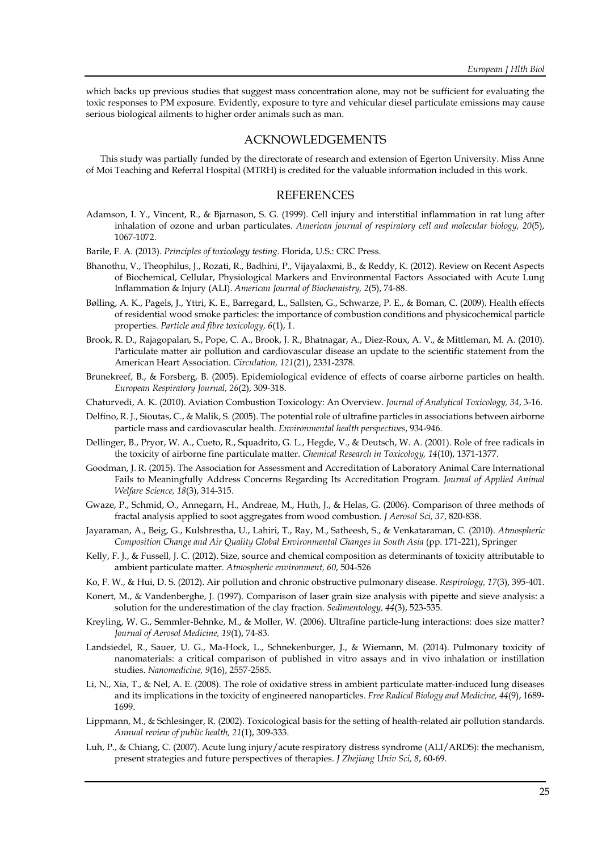which backs up previous studies that suggest mass concentration alone, may not be sufficient for evaluating the toxic responses to PM exposure. Evidently, exposure to tyre and vehicular diesel particulate emissions may cause serious biological ailments to higher order animals such as man.

## ACKNOWLEDGEMENTS

This study was partially funded by the directorate of research and extension of Egerton University. Miss Anne of Moi Teaching and Referral Hospital (MTRH) is credited for the valuable information included in this work.

#### **REFERENCES**

- Adamson, I. Y., Vincent, R., & Bjarnason, S. G. (1999). Cell injury and interstitial inflammation in rat lung after inhalation of ozone and urban particulates. *American journal of respiratory cell and molecular biology, 20*(5), 1067-1072.
- Barile, F. A. (2013). *Principles of toxicology testing*. Florida, U.S.: CRC Press.
- Bhanothu, V., Theophilus, J., Rozati, R., Badhini, P., Vijayalaxmi, B., & Reddy, K. (2012). Review on Recent Aspects of Biochemical, Cellular, Physiological Markers and Environmental Factors Associated with Acute Lung Inflammation & Injury (ALI). *American Journal of Biochemistry, 2*(5), 74-88.
- Bølling, A. K., Pagels, J., Yttri, K. E., Barregard, L., Sallsten, G., Schwarze, P. E., & Boman, C. (2009). Health effects of residential wood smoke particles: the importance of combustion conditions and physicochemical particle properties. *Particle and fibre toxicology, 6*(1), 1.
- Brook, R. D., Rajagopalan, S., Pope, C. A., Brook, J. R., Bhatnagar, A., Diez-Roux, A. V., & Mittleman, M. A. (2010). Particulate matter air pollution and cardiovascular disease an update to the scientific statement from the American Heart Association. *Circulation, 121*(21), 2331-2378.
- Brunekreef, B., & Forsberg, B. (2005). Epidemiological evidence of effects of coarse airborne particles on health*. European Respiratory Journal, 26*(2), 309-318.
- Chaturvedi, A. K. (2010). Aviation Combustion Toxicology: An Overview. *Journal of Analytical Toxicology, 34*, 3-16.
- Delfino, R. J., Sioutas, C., & Malik, S. (2005). The potential role of ultrafine particles in associations between airborne particle mass and cardiovascular health. *Environmental health perspectives*, 934-946.
- Dellinger, B., Pryor, W. A., Cueto, R., Squadrito, G. L., Hegde, V., & Deutsch, W. A. (2001). Role of free radicals in the toxicity of airborne fine particulate matter. *Chemical Research in Toxicology, 14*(10), 1371-1377.
- Goodman, J. R. (2015). The Association for Assessment and Accreditation of Laboratory Animal Care International Fails to Meaningfully Address Concerns Regarding Its Accreditation Program. *Journal of Applied Animal Welfare Science, 18*(3), 314-315.
- Gwaze, P., Schmid, O., Annegarn, H., Andreae, M., Huth, J., & Helas, G. (2006). Comparison of three methods of fractal analysis applied to soot aggregates from wood combustion. *J Aerosol Sci, 37*, 820-838.
- Jayaraman, A., Beig, G., Kulshrestha, U., Lahiri, T., Ray, M., Satheesh, S., & Venkataraman, C. (2010). *Atmospheric Composition Change and Air Quality Global Environmental Changes in South Asia* (pp. 171-221), Springer
- Kelly, F. J., & Fussell, J. C. (2012). Size, source and chemical composition as determinants of toxicity attributable to ambient particulate matter. *Atmospheric environment, 60*, 504-526
- Ko, F. W., & Hui, D. S. (2012). Air pollution and chronic obstructive pulmonary disease. *Respirology, 17*(3), 395-401.
- Konert, M., & Vandenberghe, J. (1997). Comparison of laser grain size analysis with pipette and sieve analysis: a solution for the underestimation of the clay fraction. *Sedimentology, 44*(3), 523-535.
- Kreyling, W. G., Semmler-Behnke, M., & Moller, W. (2006). Ultrafine particle-lung interactions: does size matter? *Journal of Aerosol Medicine, 19*(1), 74-83.
- Landsiedel, R., Sauer, U. G., Ma-Hock, L., Schnekenburger, J., & Wiemann, M. (2014). Pulmonary toxicity of nanomaterials: a critical comparison of published in vitro assays and in vivo inhalation or instillation studies. *Nanomedicine, 9*(16), 2557-2585.
- Li, N., Xia, T., & Nel, A. E. (2008). The role of oxidative stress in ambient particulate matter-induced lung diseases and its implications in the toxicity of engineered nanoparticles. *Free Radical Biology and Medicine, 44*(9), 1689- 1699.
- Lippmann, M., & Schlesinger, R. (2002). Toxicological basis for the setting of health-related air pollution standards. *Annual review of public health, 21*(1), 309-333.
- Luh, P., & Chiang, C. (2007). Acute lung injury/acute respiratory distress syndrome (ALI/ARDS): the mechanism, present strategies and future perspectives of therapies. *J Zhejiang Univ Sci, 8*, 60-69.